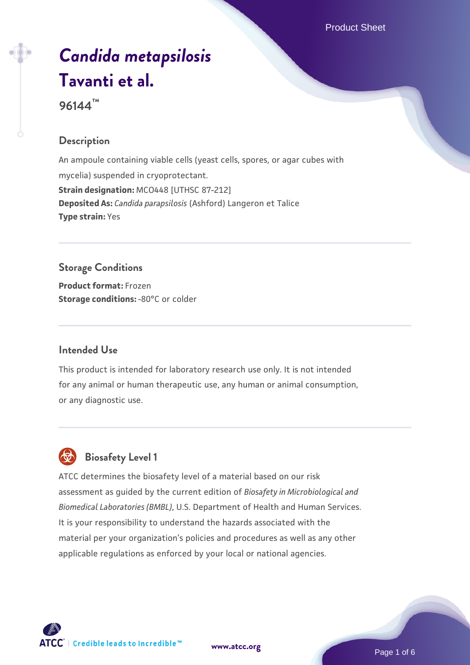Product Sheet

# *[Candida metapsilosis](https://www.atcc.org/products/96144)* **[Tavanti et al.](https://www.atcc.org/products/96144)**

**96144™**

### **Description**

An ampoule containing viable cells (yeast cells, spores, or agar cubes with mycelia) suspended in cryoprotectant. **Strain designation:** MCO448 [UTHSC 87-212] **Deposited As:** *Candida parapsilosis* (Ashford) Langeron et Talice **Type strain:** Yes

# **Storage Conditions**

**Product format:** Frozen **Storage conditions: -80°C or colder** 

#### **Intended Use**

This product is intended for laboratory research use only. It is not intended for any animal or human therapeutic use, any human or animal consumption, or any diagnostic use.



## **Biosafety Level 1**

ATCC determines the biosafety level of a material based on our risk assessment as guided by the current edition of *Biosafety in Microbiological and Biomedical Laboratories (BMBL)*, U.S. Department of Health and Human Services. It is your responsibility to understand the hazards associated with the material per your organization's policies and procedures as well as any other applicable regulations as enforced by your local or national agencies.



**[www.atcc.org](http://www.atcc.org)**

Page 1 of 6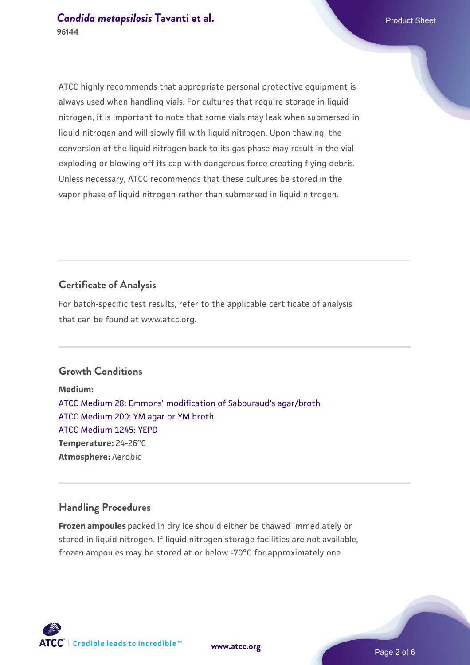ATCC highly recommends that appropriate personal protective equipment is always used when handling vials. For cultures that require storage in liquid nitrogen, it is important to note that some vials may leak when submersed in liquid nitrogen and will slowly fill with liquid nitrogen. Upon thawing, the conversion of the liquid nitrogen back to its gas phase may result in the vial exploding or blowing off its cap with dangerous force creating flying debris. Unless necessary, ATCC recommends that these cultures be stored in the vapor phase of liquid nitrogen rather than submersed in liquid nitrogen.

## **Certificate of Analysis**

For batch-specific test results, refer to the applicable certificate of analysis that can be found at www.atcc.org.

#### **Growth Conditions**

**Medium:**  [ATCC Medium 28: Emmons' modification of Sabouraud's agar/broth](https://www.atcc.org/-/media/product-assets/documents/microbial-media-formulations/2/8/atcc-medium-28.pdf?rev=0da0c58cc2a343eeae735016b70809bb) [ATCC Medium 200: YM agar or YM broth](https://www.atcc.org/-/media/product-assets/documents/microbial-media-formulations/2/0/0/atcc-medium-200.pdf?rev=ac40fd74dc13433a809367b0b9da30fc) [ATCC Medium 1245: YEPD](https://www.atcc.org/-/media/product-assets/documents/microbial-media-formulations/1/2/4/5/atcc-medium-1245.pdf?rev=705ca55d1b6f490a808a965d5c072196) **Temperature:** 24-26°C **Atmosphere:** Aerobic

#### **Handling Procedures**

**Frozen ampoules** packed in dry ice should either be thawed immediately or stored in liquid nitrogen. If liquid nitrogen storage facilities are not available, frozen ampoules may be stored at or below -70°C for approximately one



**[www.atcc.org](http://www.atcc.org)**

Page 2 of 6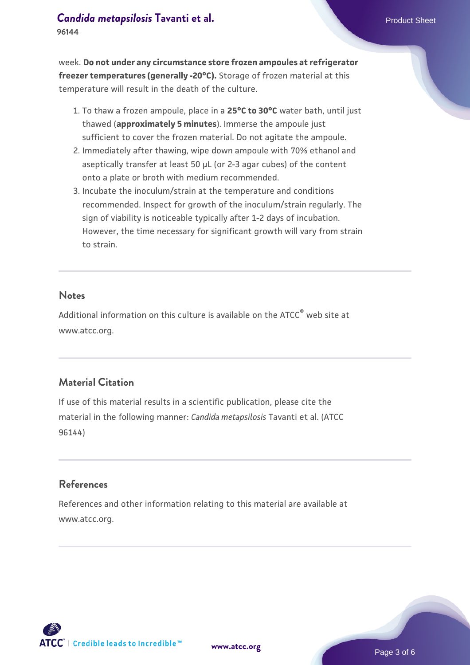## **[Candida metapsilosis](https://www.atcc.org/products/96144) [Tavanti et al.](https://www.atcc.org/products/96144)** Product Sheet

**96144**

week. **Do not under any circumstance store frozen ampoules at refrigerator freezer temperatures (generally -20°C).** Storage of frozen material at this temperature will result in the death of the culture.

- 1. To thaw a frozen ampoule, place in a **25°C to 30°C** water bath, until just thawed (**approximately 5 minutes**). Immerse the ampoule just sufficient to cover the frozen material. Do not agitate the ampoule.
- 2. Immediately after thawing, wipe down ampoule with 70% ethanol and aseptically transfer at least 50 µL (or 2-3 agar cubes) of the content onto a plate or broth with medium recommended.
- Incubate the inoculum/strain at the temperature and conditions 3. recommended. Inspect for growth of the inoculum/strain regularly. The sign of viability is noticeable typically after 1-2 days of incubation. However, the time necessary for significant growth will vary from strain to strain.

#### **Notes**

Additional information on this culture is available on the ATCC® web site at www.atcc.org.

## **Material Citation**

If use of this material results in a scientific publication, please cite the material in the following manner: *Candida metapsilosis* Tavanti et al. (ATCC 96144)

#### **References**

References and other information relating to this material are available at www.atcc.org.



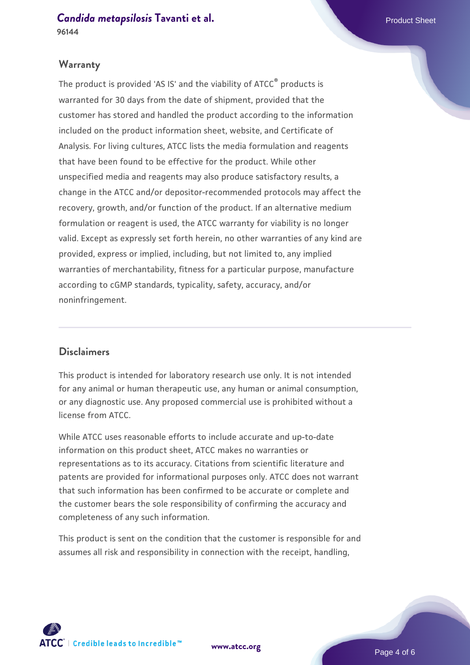**[Candida metapsilosis](https://www.atcc.org/products/96144) [Tavanti et al.](https://www.atcc.org/products/96144)** Product Sheet

#### **96144**

#### **Warranty**

The product is provided 'AS IS' and the viability of ATCC® products is warranted for 30 days from the date of shipment, provided that the customer has stored and handled the product according to the information included on the product information sheet, website, and Certificate of Analysis. For living cultures, ATCC lists the media formulation and reagents that have been found to be effective for the product. While other unspecified media and reagents may also produce satisfactory results, a change in the ATCC and/or depositor-recommended protocols may affect the recovery, growth, and/or function of the product. If an alternative medium formulation or reagent is used, the ATCC warranty for viability is no longer valid. Except as expressly set forth herein, no other warranties of any kind are provided, express or implied, including, but not limited to, any implied warranties of merchantability, fitness for a particular purpose, manufacture according to cGMP standards, typicality, safety, accuracy, and/or noninfringement.

#### **Disclaimers**

This product is intended for laboratory research use only. It is not intended for any animal or human therapeutic use, any human or animal consumption, or any diagnostic use. Any proposed commercial use is prohibited without a license from ATCC.

While ATCC uses reasonable efforts to include accurate and up-to-date information on this product sheet, ATCC makes no warranties or representations as to its accuracy. Citations from scientific literature and patents are provided for informational purposes only. ATCC does not warrant that such information has been confirmed to be accurate or complete and the customer bears the sole responsibility of confirming the accuracy and completeness of any such information.

This product is sent on the condition that the customer is responsible for and assumes all risk and responsibility in connection with the receipt, handling,



**[www.atcc.org](http://www.atcc.org)**

Page 4 of 6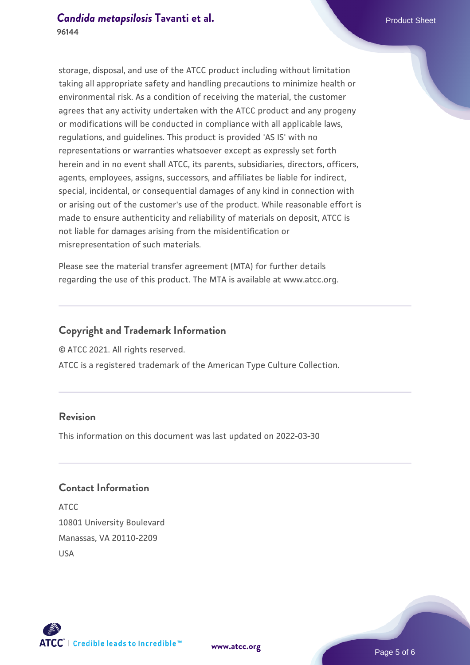storage, disposal, and use of the ATCC product including without limitation taking all appropriate safety and handling precautions to minimize health or environmental risk. As a condition of receiving the material, the customer agrees that any activity undertaken with the ATCC product and any progeny or modifications will be conducted in compliance with all applicable laws, regulations, and guidelines. This product is provided 'AS IS' with no representations or warranties whatsoever except as expressly set forth herein and in no event shall ATCC, its parents, subsidiaries, directors, officers, agents, employees, assigns, successors, and affiliates be liable for indirect, special, incidental, or consequential damages of any kind in connection with or arising out of the customer's use of the product. While reasonable effort is made to ensure authenticity and reliability of materials on deposit, ATCC is not liable for damages arising from the misidentification or misrepresentation of such materials.

Please see the material transfer agreement (MTA) for further details regarding the use of this product. The MTA is available at www.atcc.org.

### **Copyright and Trademark Information**

© ATCC 2021. All rights reserved.

ATCC is a registered trademark of the American Type Culture Collection.

## **Revision**

This information on this document was last updated on 2022-03-30

## **Contact Information**

ATCC 10801 University Boulevard Manassas, VA 20110-2209 USA